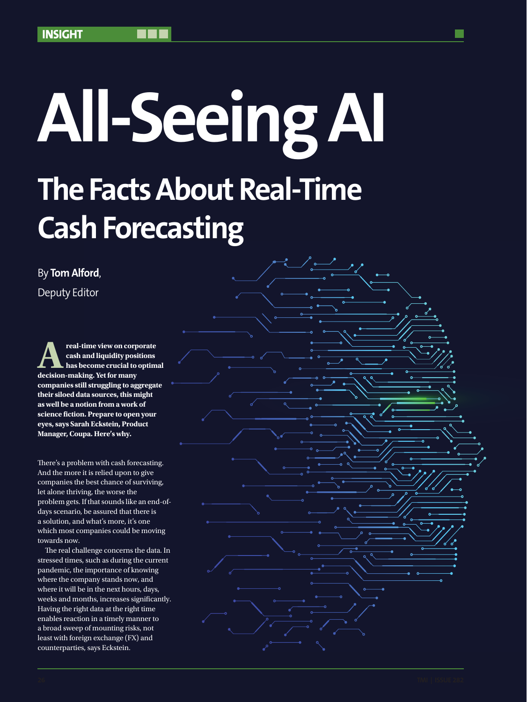# **All-Seeing AI The Facts About Real-Time Cash Forecasting**

By **Tom Alford**, Deputy Editor

**Areal-time view on corporate**<br> **Areal-time view on corporate**<br> **Areal is a become crucial to optim**<br> **Areal is a become crucial to optim**<br> **Areal is a become crucial to optim cash and liquidity positions has become crucial to optimal decision-making. Yet for many companies still struggling to aggregate their siloed data sources, this might as well be a notion from a work of science fiction. Prepare to open your eyes, says Sarah Eckstein, Product Manager, Coupa. Here's why.**

There's a problem with cash forecasting. And the more it is relied upon to give companies the best chance of surviving, let alone thriving, the worse the problem gets. If that sounds like an end-ofdays scenario, be assured that there is a solution, and what's more, it's one which most companies could be moving towards now.

The real challenge concerns the data. In stressed times, such as during the current pandemic, the importance of knowing where the company stands now, and where it will be in the next hours, days, weeks and months, increases significantly. Having the right data at the right time enables reaction in a timely manner to a broad sweep of mounting risks, not least with foreign exchange (FX) and counterparties, says Eckstein.

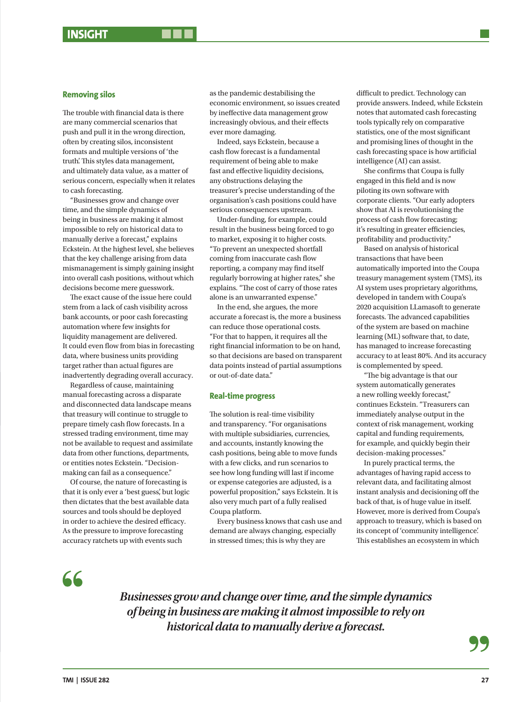## **Removing silos**

The trouble with financial data is there are many commercial scenarios that push and pull it in the wrong direction, often by creating silos, inconsistent formats and multiple versions of 'the truth'. This styles data management, and ultimately data value, as a matter of serious concern, especially when it relates to cash forecasting.

"Businesses grow and change over time, and the simple dynamics of being in business are making it almost impossible to rely on historical data to manually derive a forecast," explains Eckstein. At the highest level, she believes that the key challenge arising from data mismanagement is simply gaining insight into overall cash positions, without which decisions become mere guesswork.

The exact cause of the issue here could stem from a lack of cash visibility across bank accounts, or poor cash forecasting automation where few insights for liquidity management are delivered. It could even flow from bias in forecasting data, where business units providing target rather than actual figures are inadvertently degrading overall accuracy.

Regardless of cause, maintaining manual forecasting across a disparate and disconnected data landscape means that treasury will continue to struggle to prepare timely cash flow forecasts. In a stressed trading environment, time may not be available to request and assimilate data from other functions, departments, or entities notes Eckstein. "Decisionmaking can fail as a consequence."

Of course, the nature of forecasting is that it is only ever a 'best guess', but logic then dictates that the best available data sources and tools should be deployed in order to achieve the desired efficacy. As the pressure to improve forecasting accuracy ratchets up with events such

as the pandemic destabilising the economic environment, so issues created by ineffective data management grow increasingly obvious, and their effects ever more damaging.

Indeed, says Eckstein, because a cash flow forecast is a fundamental requirement of being able to make fast and effective liquidity decisions, any obstructions delaying the treasurer's precise understanding of the organisation's cash positions could have serious consequences upstream.

Under-funding, for example, could result in the business being forced to go to market, exposing it to higher costs. "To prevent an unexpected shortfall coming from inaccurate cash flow reporting, a company may find itself regularly borrowing at higher rates," she explains. "The cost of carry of those rates alone is an unwarranted expense."

In the end, she argues, the more accurate a forecast is, the more a business can reduce those operational costs. "For that to happen, it requires all the right financial information to be on hand, so that decisions are based on transparent data points instead of partial assumptions or out-of-date data."

### **Real-time progress**

The solution is real-time visibility and transparency. "For organisations with multiple subsidiaries, currencies, and accounts, instantly knowing the cash positions, being able to move funds with a few clicks, and run scenarios to see how long funding will last if income or expense categories are adjusted, is a powerful proposition," says Eckstein. It is also very much part of a fully realised Coupa platform.

Every business knows that cash use and demand are always changing, especially in stressed times; this is why they are

difficult to predict. Technology can provide answers. Indeed, while Eckstein notes that automated cash forecasting tools typically rely on comparative statistics, one of the most significant and promising lines of thought in the cash forecasting space is how artificial intelligence (AI) can assist.

She confirms that Coupa is fully engaged in this field and is now piloting its own software with corporate clients. "Our early adopters show that AI is revolutionising the process of cash flow forecasting; it's resulting in greater efficiencies, profitability and productivity."

Based on analysis of historical transactions that have been automatically imported into the Coupa treasury management system (TMS), its AI system uses proprietary algorithms, developed in tandem with Coupa's 2020 acquisition LLamasoft to generate forecasts. The advanced capabilities of the system are based on machine learning (ML) software that, to date, has managed to increase forecasting accuracy to at least 80%. And its accuracy is complemented by speed.

"The big advantage is that our system automatically generates a new rolling weekly forecast," continues Eckstein. "Treasurers can immediately analyse output in the context of risk management, working capital and funding requirements, for example, and quickly begin their decision-making processes."

In purely practical terms, the advantages of having rapid access to relevant data, and facilitating almost instant analysis and decisioning off the back of that, is of huge value in itself. However, more is derived from Coupa's approach to treasury, which is based on its concept of 'community intelligence'. This establishes an ecosystem in which

66

*Businesses grow and change over time, and the simple dynamics of being in business are making it almost impossible to rely on historical data to manually derive a forecast.*